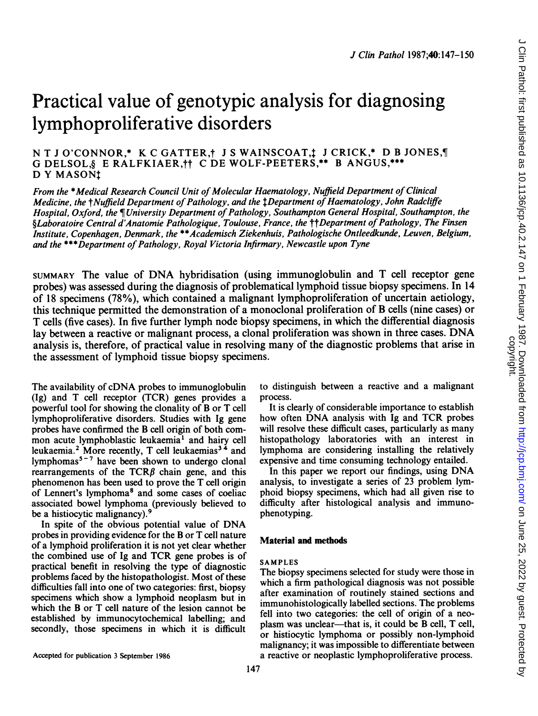# Practical value of genotypic analysis for diagnosing lymphoproliferative disorders

# N T J O'CONNOR,\* K C GATTER, J S WAINSCOAT, J CRICK,\* D B JONES,¶ G DELSOL,§ E RALFKIAER,tt C DE WOLF-PEETERS,\*\* B ANGUS,\*\*\* D Y MASON:

From the \*Medical Research Council Unit of Molecular Haematology, Nuffield Department of Clinical Medicine, the tNuffield Department of Pathology, and the *‡Department of Haematology, John Radcliffe* Hospital, Oxford, the University Department of Pathology, Southampton General Hospital, Southampton, the §Laboratoire Central d'Anatomie Pathologique, Toulouse, France, the ttDepartment of Pathology, The Finsen Institute, Copenhagen, Denmark, the \*\*Academisch Ziekenhuis, Pathologische Ontleedkunde, Leuven, Belgium, and the \*\*\*Department of Pathology, Royal Victoria Infirmary, Newcastle upon Tyne

SUMMARY The value of DNA hybridisation (using immunoglobulin and T cell receptor gene probes) was assessed during the diagnosis of problematical lymphoid tissue biopsy specimens. In 14 of 18 specimens (78%), which contained a malignant lymphoproliferation of uncertain aetiology, this technique permitted the demonstration of a monoclonal proliferation of B cells (nine cases) or T cells (five cases). In five further lymph node biopsy specimens, in which the differential diagnosis lay between <sup>a</sup> reactive or malignant process, <sup>a</sup> clonal proliferation was shown in three cases. DNA analysis is, therefore, of practical value in resolving many of the diagnostic problems that arise in the assessment of lymphoid tissue biopsy specimens.

The availability of cDNA probes to immunoglobulin (Ig) and T cell receptor (TCR) genes provides a powerful tool for showing the clonality of B or T cell lymphoproliferative disorders. Studies with Ig gene probes have confirmed the B cell origin of both common acute lymphoblastic leukaemia' and hairy cell leukaemia.<sup>2</sup> More recently, T cell leukaemias<sup>34</sup> and lymphomas<sup> $5-7$ </sup> have been shown to undergo clonal rearrangements of the  $TCR\beta$  chain gene, and this phenomenon has been used to prove the T cell origin of Lennert's lymphoma8 and some cases of coeliac associated bowel lymphoma (previously believed to be a histiocytic malignancy).<sup>9</sup>

In spite of the obvious potential value of DNA probes in providing evidence for the B or T cell nature of a lymphoid proliferation it is not yet clear whether the combined use of Ig and TCR gene probes is of practical benefit in resolving the type of diagnostic problems faced by the histopathologist. Most of these difficulties fall into one of two categories: first, biopsy specimens which show a lymphoid neoplasm but in which the B or T cell nature of the lesion cannot be established by immunocytochemical labelling; and secondly, those specimens in which it is difficult

It is clearly of considerable importance to establish

how often DNA analysis with Ig and TCR probes will resolve these difficult cases, particularly as many histopathology laboratories with an interest in lymphoma are considering installing the relatively expensive and time consuming technology entailed.

to distinguish between a reactive and a malignant

In this paper we report our findings, using DNA analysis, to investigate a series of 23 problem lymphoid biopsy specimens, which had all given rise to difficulty after histological analysis and immunophenotyping.

### Material and methods

### SAMPLES

process.

The biopsy specimens selected for study were those in which a firm pathological diagnosis was not possible after examination of routinely stained sections and immunohistologically labelled sections. The problems fell into two categories: the cell of origin of a neoplasm was unclear—that is, it could be B cell, T cell, or histiocytic lymphoma or possibly non-lymphoid malignancy; it was impossible to differentiate between a reactive or neoplastic lymphoproliferative process.

Accepted for publication 3 September 1986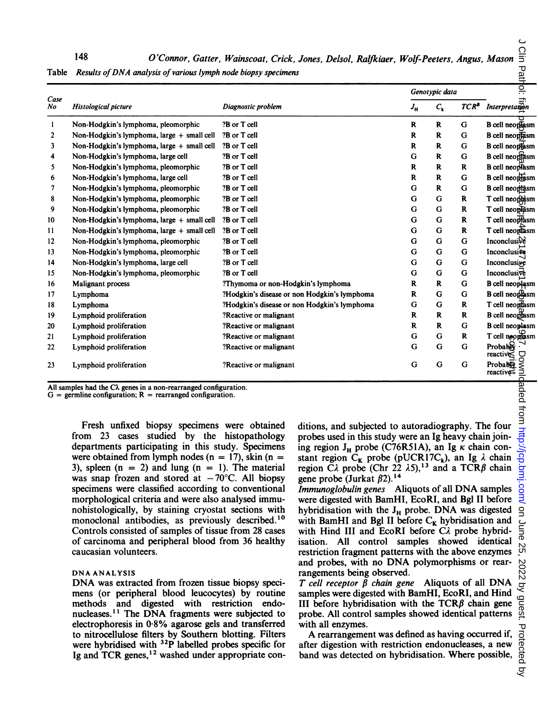J Clin Path O'Connor, Gatter, Wainscoat, Crick, Jones, Delsol, Ralfkiaer, Wolf-Peeters, Angus, Mason

| Case<br>No | <b>Histological picture</b>                | Diagnostic problem                           | Genotypic data |              |         | ਼ੰ                                             |  |
|------------|--------------------------------------------|----------------------------------------------|----------------|--------------|---------|------------------------------------------------|--|
|            |                                            |                                              | $J_{\rm H}$    | $C_{\bf k}$  | $TCR^B$ | −<br>Interpretation                            |  |
| 1          | Non-Hodgkin's lymphoma, pleomorphic        | ?B or T cell                                 | R              | $\mathbf{R}$ | G       | <b>B</b> cell neoplasm                         |  |
| 2          | Non-Hodgkin's lymphoma, large + small cell | ?B or T cell                                 | $\mathbf R$    | $\mathbf{R}$ | G       | <b>B</b> cell neopyosm                         |  |
| 3          | Non-Hodgkin's lymphoma, large + small cell | ?B or T cell                                 | $\mathbf R$    | R            | G       | <b>B</b> cell neoplasm                         |  |
| 4          | Non-Hodgkin's lymphoma, large cell         | ?B or T cell                                 | G              | $\mathbf R$  | G       | <b>B</b> cell neoplasm                         |  |
| 5.         | Non-Hodgkin's lymphoma, pleomorphic        | ?B or T cell                                 | $\mathbf{R}$   | R            | R       | <b>B</b> cell neoplasm                         |  |
| 6          | Non-Hodgkin's lymphoma, large cell         | ?B or T cell                                 | R              | R            | G       | <b>B</b> cell neoplasm                         |  |
| 7          | Non-Hodgkin's lymphoma, pleomorphic        | ?B or T cell                                 | G              | $\mathbf{R}$ | G       | B cell neoplasm                                |  |
| 8          | Non-Hodgkin's lymphoma, pleomorphic        | ?B or T cell                                 | G              | G            | R       | T cell neophism                                |  |
| 9          | Non-Hodgkin's lymphoma, pleomorphic        | ?B or T cell                                 | G              | G            | R       | T cell neoplasm                                |  |
| 10         | Non-Hodgkin's lymphoma, large + small cell | ?B or T cell                                 | G              | G            | R       | T cell neoplasm                                |  |
| 11         | Non-Hodgkin's lymphoma, large + small cell | ?B or T cell                                 | G              | G            | R       | T cell neoptasm                                |  |
| 12         | Non-Hodgkin's lymphoma, pleomorphic        | ?B or T cell                                 | G              | G            | G       | Inconclusive                                   |  |
| 13         | Non-Hodgkin's lymphoma, pleomorphic        | ?B or T cell                                 | G              | G            | G       | Inconclusive                                   |  |
| 14         | Non-Hodgkin's lymphoma, large cell         | ?B or T cell                                 | G              | G            | G       | Inconclusive                                   |  |
| 15         | Non-Hodgkin's lymphoma, pleomorphic        | ?B or T cell                                 | G              | G            | G       | Inconclusive                                   |  |
| 16         | <b>Malignant</b> process                   | ?Thymoma or non-Hodgkin's lymphoma           | R              | $\mathbf{R}$ | G       | <b>B</b> cell neoplasm                         |  |
| 17         | Lymphoma                                   | ?Hodgkin's disease or non Hodgkin's lymphoma | R              | G            | G       | <b>B</b> cell neoplasm                         |  |
| 18         | Lymphoma                                   | ?Hodgkin's disease or non Hodgkin's lymphoma | G              | G            | R       | T cell neoplasm                                |  |
| 19         | Lymphoid proliferation                     | ?Reactive or malignant                       | $\mathbf R$    | R            | R       | B cell neoplasm                                |  |
| 20         | Lymphoid proliferation                     | ?Reactive or malignant                       | R              | R            | G       | <b>B</b> cell neoplasm                         |  |
| 21         | Lymphoid proliferation                     | ?Reactive or malignant                       | G              | G            | R       | T cell neoplasm                                |  |
| 22         | Lymphoid proliferation                     | ?Reactive or malignant                       | G              | G            | G       | Probab <sub>B</sub><br>reactive $\subset$      |  |
| 23         | Lymphoid proliferation                     | ?Reactive or malignant                       | G              | G            | G       | Probably<br>Probable $\leq$<br>reactive $\geq$ |  |

Table Results of DNA analysis of various lymph node biopsy specimens

148

All samples had the  $C\lambda$  genes in a non-rearranged configuration.

 $G =$  germline configuration;  $R =$  rearranged configuration.

Fresh unfixed biopsy specimens were obtained from 23 cases studied by the histopathology departments participating in this study. Specimens were obtained from lymph nodes ( $n = 17$ ), skin ( $n = 17$ ) 3), spleen  $(n = 2)$  and lung  $(n = 1)$ . The material was snap frozen and stored at  $-70^{\circ}$ C. All biopsy specimens were classified according to conventional morphological criteria and were also analysed immunohistologically, by staining cryostat sections with monoclonal antibodies, as previously described.<sup>10</sup> Controls consisted of samples of tissue from 28 cases of carcinoma and peripheral blood from 36 healthy caucasian volunteers.

#### DNA ANALYSIS

DNA was extracted from frozen tissue biopsy specimens (or peripheral blood leucocytes) by routine methods and digested with restriction endonucleases.'1 The DNA fragments were subjected to electrophoresis in 0-8% agarose gels and transferred to nitrocellulose filters by Southern blotting. Filters were hybridised with <sup>32</sup>P labelled probes specific for Ig and TCR genes,<sup>12</sup> washed under appropriate conditions, and subjected to autoradiography. The four probes used in this study were an Ig heavy chain joining region  $J_H$  probe (C76R51A), an Ig  $\kappa$  chain constant region  $C_K$  probe (pUCR17C<sub>k</sub>), an Ig  $\lambda$  chain region  $\tilde{C} \lambda$  probe (Chr 22  $\lambda$ 5),<sup>13</sup> and a TCRB chain gene probe (Jurkat  $\beta$ 2).<sup>14</sup>

Immunoglobulin genes Aliquots of all DNA samples were digested with BamHI, EcoRI, and Bgl II before hybridisation with the  $J_H$  probe. DNA was digested with BamHI and Bgl II before  $C_K$  hybridisation and with Hind III and EcoRI before  $C\lambda$  probe hybridisation. All control samples showed identical restriction fragment patterns with the above enzymes and probes, with no DNA polymorphisms or rearrangements being observed.

T cell receptor  $\beta$  chain gene Aliquots of all DNA samples were digested with BamHI, EcoRI, and Hind III before hybridisation with the  $TCR\beta$  chain gene probe. All control samples showed identical patterns with all enzymes.

A rearrangement was defined as having occurred if, after digestion with restriction endonucleases, a new band was detected on hybridisation. Where possible,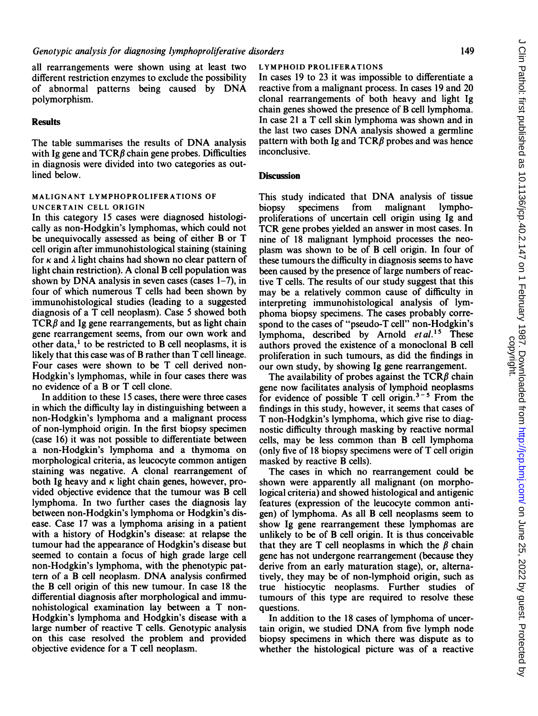all rearrangements were shown using at least two different restriction enzymes to exclude the possibility of abnormal patterns being caused by DNA polymorphism.

# **Results**

The table summarises the results of DNA analysis with Ig gene and  $TCR\beta$  chain gene probes. Difficulties in diagnosis were divided into two categories as outlined below.

#### MALIGNANT LYMPHOPROLIFERATIONS OF UNCERTAIN CELL ORIGIN

In this category 15 cases were diagnosed histologically as non-Hodgkin's lymphomas, which could not be unequivocally assessed as being of either B or T cell origin after immunohistological staining (staining for  $\kappa$  and  $\lambda$  light chains had shown no clear pattern of light chain restriction). A clonal B cell population was shown by DNA analysis in seven cases (cases  $1-7$ ), in four of which numerous T cells had been shown by immunohistological studies (leading to a suggested diagnosis of <sup>a</sup> T cell neoplasm). Case <sup>5</sup> showed both  $TCR\beta$  and Ig gene rearrangements, but as light chain gene rearrangement seems, from our own work and other data, $<sup>1</sup>$  to be restricted to B cell neoplasms, it is</sup> likely that this case was of B rather than T cell lineage. Four cases were shown to be T cell derived non-Hodgkin's lymphomas, while in four cases there was no evidence of a B or T cell clone.

In addition to these 15 cases, there were three cases in which the difficulty lay in distinguishing between a non-Hodgkin's lymphoma and a malignant process of non-lymphoid origin. In the first biopsy specimen (case 16) it was not possible to differentiate between a non-Hodgkin's lymphoma and a thymoma on morphological criteria, as leucocyte common antigen staining was negative. A clonal rearrangement of both Ig heavy and  $\kappa$  light chain genes, however, provided objective evidence that the tumour was B cell lymphoma. In two further cases the diagnosis lay between non-Hodgkin's lymphoma or Hodgkin's disease. Case 17 was a lymphoma arising in a patient with a history of Hodgkin's disease: at relapse the tumour had the appearance of Hodgkin's disease but seemed to contain a focus of high grade large cell non-Hodgkin's lymphoma, with the phenotypic pattern of <sup>a</sup> B cell neoplasm. DNA analysis confirmed the B cell origin of this new tumour. In case 18 the differential diagnosis after morphological and immunohistological examination lay between a T non-Hodgkin's lymphoma and Hodgkin's disease with a large number of reactive T cells. Genotypic analysis on this case resolved the problem and provided objective evidence for <sup>a</sup> T cell neoplasm.

# 149

# LYMPHOID PROLIFERATIONS

In cases 19 to 23 it was impossible to differentiate a reactive from a malignant process. In cases 19 and 20 clonal rearrangements of both heavy and light Ig chain genes showed the presence of B cell lymphoma. In case <sup>21</sup> <sup>a</sup> T cell skin lymphoma was shown and in the last two cases DNA analysis showed <sup>a</sup> germline pattern with both Ig and  $TCR\beta$  probes and was hence inconclusive.

# **Discussion**

This study indicated that DNA analysis of tissue<br>biopsy specimens from malignant lymphospecimens proliferations of uncertain cell origin using Ig and TCR gene probes yielded an answer in most cases. In nine of 18 malignant lymphoid processes the neoplasm was shown to be of B cell origin. In four of these tumours the difficulty in diagnosis seems to have been caused by the presence of large numbers of reactive T cells. The results of our study suggest that this may be a relatively common cause of difficulty in interpreting immunohistological analysis of lymphoma biopsy specimens. The cases probably correspond to the cases of "pseudo-T cell" non-Hodgkin's lymphoma, described by Arnold *et al.*<sup>15</sup> These authors proved the existence of a monoclonal B cell proliferation in such tumours, as did the findings in our own study, by showing Ig gene rearrangement.

The availability of probes against the  $TCR\beta$  chain gene now facilitates analysis of lymphoid neoplasms for evidence of possible T cell origin. $3-5$  From the findings in this study, however, it seems that cases of T non-Hodgkin's lymphoma, which give rise to diagnostic difficulty through masking by reactive normal cells, may be less common than B cell lymphoma (only five of <sup>18</sup> biopsy specimens were of T cell origin masked by reactive B cells).

The cases in which no rearrangement could be shown were apparently all malignant (on morphological criteria) and showed histological and antigenic features (expression of the leucocyte common antigen) of lymphoma. As all B cell neoplasms seem to show Ig gene rearrangement these lymphomas are unlikely to be of B cell origin. It is thus conceivable that they are T cell neoplasms in which the  $\beta$  chain gene has not undergone rearrangement (because they derive from an early maturation stage), or, alternatively, they may be of non-lymphoid origin, such as true histiocytic neoplasms. Further studies of tumours of this type are required to resolve these questions.

In addition to the 18 cases of lymphoma of uncertain origin, we studied DNA from five lymph node biopsy specimens in which there was dispute as to whether the histological picture was of a reactive